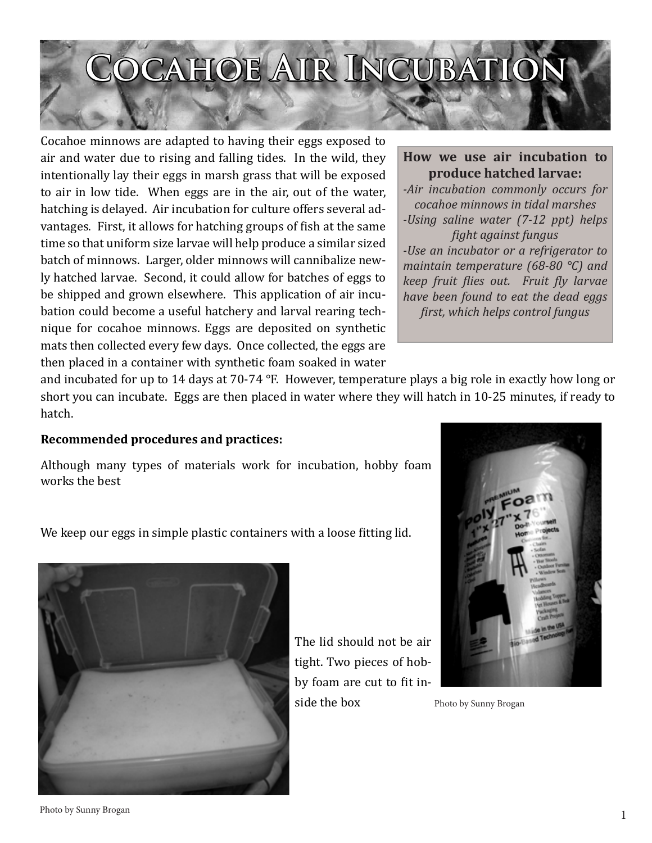## **OCAHOE AIR INCUBATIO**

Cocahoe minnows are adapted to having their eggs exposed to air and water due to rising and falling tides. In the wild, they intentionally lay their eggs in marsh grass that will be exposed to air in low tide. When eggs are in the air, out of the water, hatching is delayed. Air incubation for culture offers several advantages. First, it allows for hatching groups of fish at the same time so that uniform size larvae will help produce a similar sized batch of minnows. Larger, older minnows will cannibalize newly hatched larvae. Second, it could allow for batches of eggs to be shipped and grown elsewhere. This application of air incubation could become a useful hatchery and larval rearing technique for cocahoe minnows. Eggs are deposited on synthetic mats then collected every few days. Once collected, the eggs are then placed in a container with synthetic foam soaked in water

## **How we use air incubation to produce hatched larvae:**

*-Air incubation commonly occurs for cocahoe minnows in tidal marshes -Using saline water (7-12 ppt) helps fight against fungus -Use an incubator or a refrigerator to maintain temperature (68-80 °C) and keep fruit flies out. Fruit fly larvae have been found to eat the dead eggs first, which helps control fungus*

and incubated for up to 14 days at 70-74 °F. However, temperature plays a big role in exactly how long or short you can incubate. Eggs are then placed in water where they will hatch in 10-25 minutes, if ready to hatch.

## **Recommended procedures and practices:**

Although many types of materials work for incubation, hobby foam works the best

We keep our eggs in simple plastic containers with a loose fitting lid.



The lid should not be air tight. Two pieces of hobby foam are cut to fit inside the box



Photo by Sunny Brogan